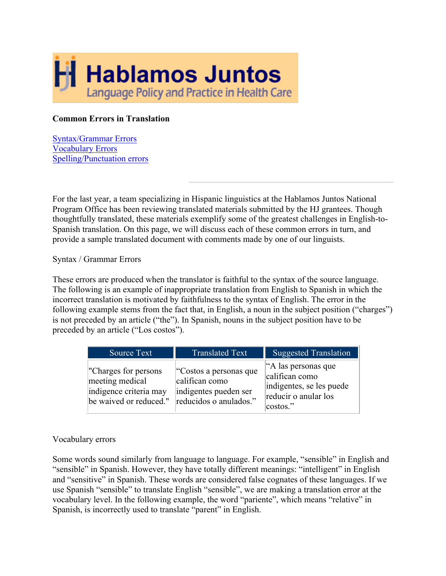

## **Common Errors in Translation**

Syntax/Grammar Errors Vocabulary Errors Spelling/Punctuation errors

For the last year, a team specializing in Hispanic linguistics at the Hablamos Juntos National Program Office has been reviewing translated materials submitted by the HJ grantees. Though thoughtfully translated, these materials exemplify some of the greatest challenges in English-to-Spanish translation. On this page, we will discuss each of these common errors in turn, and provide a sample translated document with comments made by one of our linguists.

## Syntax / Grammar Errors

These errors are produced when the translator is faithful to the syntax of the source language. The following is an example of inappropriate translation from English to Spanish in which the incorrect translation is motivated by faithfulness to the syntax of English. The error in the following example stems from the fact that, in English, a noun in the subject position ("charges") is not preceded by an article ("the"). In Spanish, nouns in the subject position have to be preceded by an article ("Los costos").

| Source Text                                                                                  | <b>Translated Text</b>                                                                      | <b>Suggested Translation</b>                                                                           |
|----------------------------------------------------------------------------------------------|---------------------------------------------------------------------------------------------|--------------------------------------------------------------------------------------------------------|
| "Charges for persons"<br>meeting medical<br>indigence criteria may<br>be waived or reduced." | "Costos a personas que<br>califican como<br>indigentes pueden ser<br>reducidos o anulados." | "A las personas que<br>califican como<br>indigentes, se les puede<br>reducir o anular los<br> costos." |

## Vocabulary errors

Some words sound similarly from language to language. For example, "sensible" in English and "sensible" in Spanish. However, they have totally different meanings: "intelligent" in English and "sensitive" in Spanish. These words are considered false cognates of these languages. If we use Spanish "sensible" to translate English "sensible", we are making a translation error at the vocabulary level. In the following example, the word "pariente", which means "relative" in Spanish, is incorrectly used to translate "parent" in English.